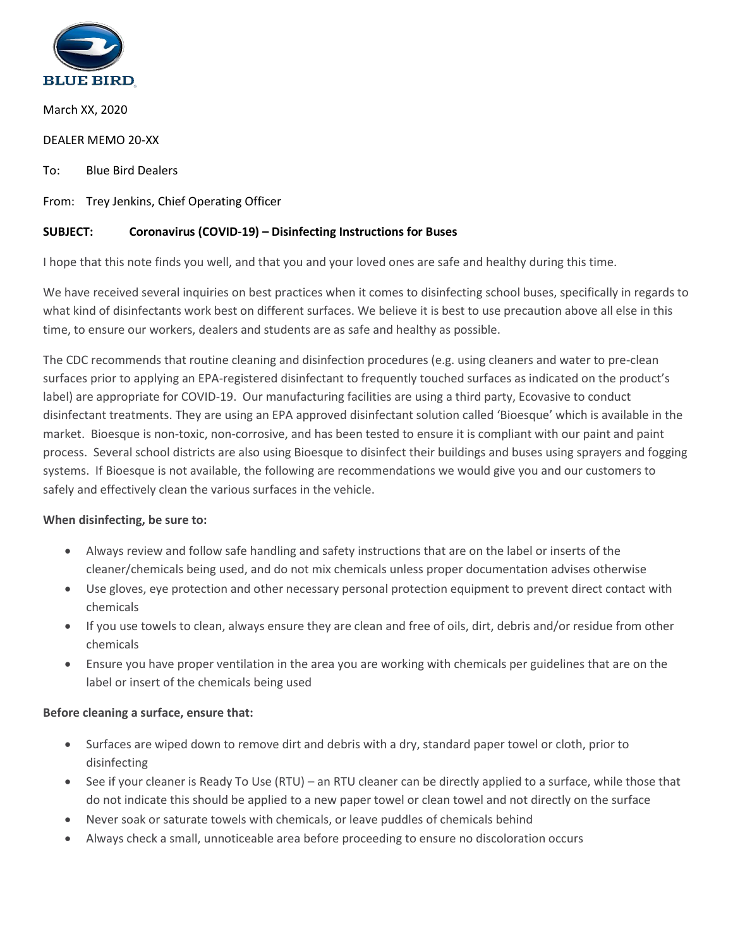

March XX, 2020

DEALER MEMO 20-XX

To: Blue Bird Dealers

From: Trey Jenkins, Chief Operating Officer

### **SUBJECT: Coronavirus (COVID-19) – Disinfecting Instructions for Buses**

I hope that this note finds you well, and that you and your loved ones are safe and healthy during this time.

We have received several inquiries on best practices when it comes to disinfecting school buses, specifically in regards to what kind of disinfectants work best on different surfaces. We believe it is best to use precaution above all else in this time, to ensure our workers, dealers and students are as safe and healthy as possible.

The CDC recommends that routine cleaning and disinfection procedures (e.g. using cleaners and water to pre-clean surfaces prior to applying an EPA-registered disinfectant to frequently touched surfaces as indicated on the product's label) are appropriate for COVID-19. Our manufacturing facilities are using a third party, Ecovasive to conduct disinfectant treatments. They are using an EPA approved disinfectant solution called 'Bioesque' which is available in the market. Bioesque is non-toxic, non-corrosive, and has been tested to ensure it is compliant with our paint and paint process. Several school districts are also using Bioesque to disinfect their buildings and buses using sprayers and fogging systems. If Bioesque is not available, the following are recommendations we would give you and our customers to safely and effectively clean the various surfaces in the vehicle.

#### **When disinfecting, be sure to:**

- Always review and follow safe handling and safety instructions that are on the label or inserts of the cleaner/chemicals being used, and do not mix chemicals unless proper documentation advises otherwise
- Use gloves, eye protection and other necessary personal protection equipment to prevent direct contact with chemicals
- If you use towels to clean, always ensure they are clean and free of oils, dirt, debris and/or residue from other chemicals
- Ensure you have proper ventilation in the area you are working with chemicals per guidelines that are on the label or insert of the chemicals being used

#### **Before cleaning a surface, ensure that:**

- Surfaces are wiped down to remove dirt and debris with a dry, standard paper towel or cloth, prior to disinfecting
- See if your cleaner is Ready To Use (RTU) an RTU cleaner can be directly applied to a surface, while those that do not indicate this should be applied to a new paper towel or clean towel and not directly on the surface
- Never soak or saturate towels with chemicals, or leave puddles of chemicals behind
- Always check a small, unnoticeable area before proceeding to ensure no discoloration occurs